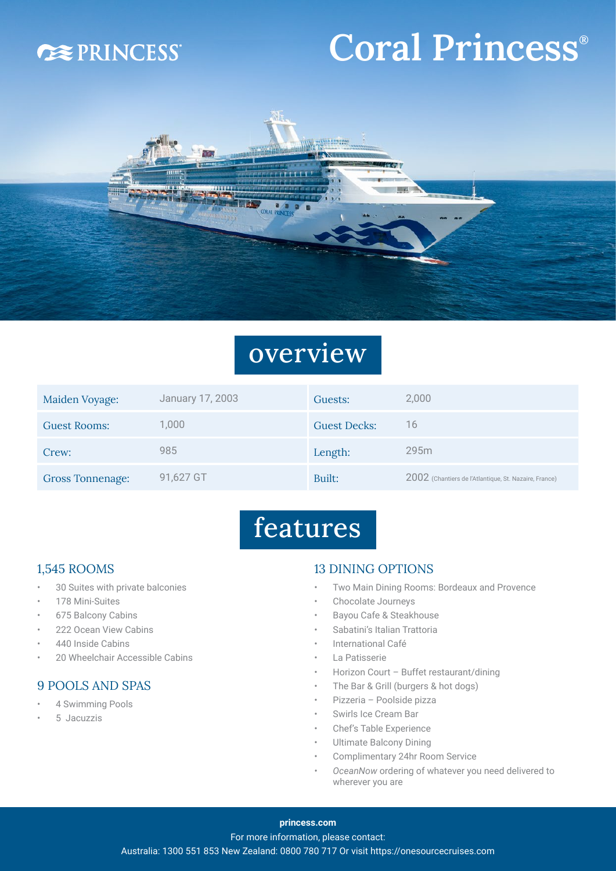### **DEPRINCESS**

# Coral Princess<sup>®</sup>



### overview

| Maiden Voyage:          | January 17, 2003 | Guests:             | 2,000                                                 |
|-------------------------|------------------|---------------------|-------------------------------------------------------|
| <b>Guest Rooms:</b>     | 1,000            | <b>Guest Decks:</b> | 16                                                    |
| Crew:                   | 985              | Length:             | 295m                                                  |
| <b>Gross Tonnenage:</b> | 91,627 GT        | Built:              | 2002 (Chantiers de l'Atlantique, St. Nazaire, France) |

## features

#### 1,545 ROOMS

- 30 Suites with private balconies
- 178 Mini-Suites
- 675 Balcony Cabins
- 222 Ocean View Cabins
- 440 Inside Cabins
- 20 Wheelchair Accessible Cabins

#### 9 POOLS AND SPAS

- 4 Swimming Pools
- 5 Jacuzzis

#### 13 DINING OPTIONS

- Two Main Dining Rooms: Bordeaux and Provence
- Chocolate Journeys
- Bayou Cafe & Steakhouse
- Sabatini's Italian Trattoria
- International Café
- La Patisserie
- Horizon Court Buffet restaurant/dining
- The Bar & Grill (burgers & hot dogs)
- Pizzeria Poolside pizza
- Swirls Ice Cream Bar
- Chef's Table Experience
- Ultimate Balcony Dining
- Complimentary 24hr Room Service
- *• OceanNow* ordering of whatever you need delivered to wherever you are